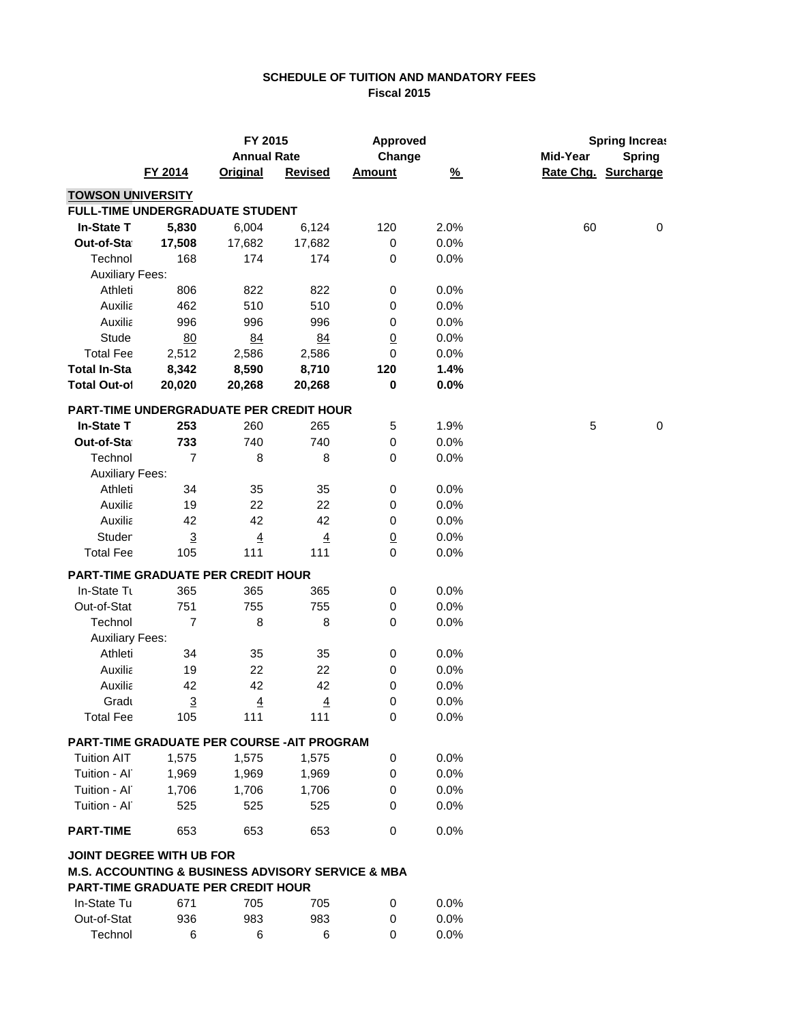## **SCHEDULE OF TUITION AND MANDATORY FEES Fiscal 2015**

|                                                                  |                | FY 2015            |                | <b>Approved</b> |          | <b>Spring Increas</b> |                     |
|------------------------------------------------------------------|----------------|--------------------|----------------|-----------------|----------|-----------------------|---------------------|
|                                                                  |                | <b>Annual Rate</b> |                | Change          |          | Mid-Year              | <b>Spring</b>       |
|                                                                  | FY 2014        | <b>Original</b>    | <b>Revised</b> | <b>Amount</b>   | <u>%</u> |                       | Rate Chg. Surcharge |
| <b>TOWSON UNIVERSITY</b>                                         |                |                    |                |                 |          |                       |                     |
| FULL-TIME UNDERGRADUATE STUDENT                                  |                |                    |                |                 |          |                       |                     |
| <b>In-State T</b>                                                | 5,830          | 6,004              | 6,124          | 120             | 2.0%     | 60                    | 0                   |
| Out-of-Sta                                                       | 17,508         | 17,682             | 17,682         | 0               | 0.0%     |                       |                     |
| Technol                                                          | 168            | 174                | 174            | $\pmb{0}$       | 0.0%     |                       |                     |
| <b>Auxiliary Fees:</b>                                           |                |                    |                |                 |          |                       |                     |
| Athleti                                                          | 806            | 822                | 822            | 0               | 0.0%     |                       |                     |
| Auxilia                                                          | 462            | 510                | 510            | 0               | 0.0%     |                       |                     |
| Auxilia                                                          | 996            | 996                | 996            | 0               | 0.0%     |                       |                     |
| Stude                                                            | 80             | 84                 | 84             | $\underline{0}$ | 0.0%     |                       |                     |
| <b>Total Fee</b>                                                 | 2,512          | 2,586              | 2,586          | 0               | 0.0%     |                       |                     |
| <b>Total In-Sta</b>                                              | 8,342          | 8,590              | 8,710          | 120             | 1.4%     |                       |                     |
| <b>Total Out-of</b>                                              | 20,020         | 20,268             | 20,268         | 0               | 0.0%     |                       |                     |
| PART-TIME UNDERGRADUATE PER CREDIT HOUR                          |                |                    |                |                 |          |                       |                     |
| <b>In-State T</b>                                                | 253            | 260                | 265            | 5               | 1.9%     | $\sqrt{5}$            | $\mathbf 0$         |
| Out-of-Sta                                                       | 733            | 740                | 740            | $\mathbf 0$     | 0.0%     |                       |                     |
| Technol                                                          | $\overline{7}$ | 8                  | 8              | 0               | 0.0%     |                       |                     |
| <b>Auxiliary Fees:</b>                                           |                |                    |                |                 |          |                       |                     |
| Athleti                                                          | 34             | 35                 | 35             | $\,0\,$         | 0.0%     |                       |                     |
| Auxilia                                                          | 19             | 22                 | 22             | 0               | 0.0%     |                       |                     |
| Auxilia                                                          | 42             | 42                 | 42             | 0               | 0.0%     |                       |                     |
| Studer                                                           | $\overline{3}$ | $\overline{4}$     | $\overline{4}$ | $\overline{0}$  | 0.0%     |                       |                     |
| <b>Total Fee</b>                                                 | 105            | 111                | 111            | $\mathbf 0$     | 0.0%     |                       |                     |
| <b>PART-TIME GRADUATE PER CREDIT HOUR</b>                        |                |                    |                |                 |          |                       |                     |
| In-State Tu                                                      | 365            | 365                | 365            | 0               | 0.0%     |                       |                     |
| Out-of-Stat                                                      | 751            | 755                | 755            | 0               | 0.0%     |                       |                     |
| Technol                                                          | $\overline{7}$ | 8                  | 8              | 0               | 0.0%     |                       |                     |
| <b>Auxiliary Fees:</b>                                           |                |                    |                |                 |          |                       |                     |
| Athleti                                                          | 34             | 35                 | 35             | 0               | 0.0%     |                       |                     |
| Auxilia                                                          | 19             | 22                 | 22             | 0               | 0.0%     |                       |                     |
| Auxilia                                                          | 42             | 42                 | 42             | 0               | 0.0%     |                       |                     |
| Gradu                                                            | $\overline{3}$ | $\underline{4}$    | $\overline{4}$ | 0               | 0.0%     |                       |                     |
| <b>Total Fee</b>                                                 | 105            | 111                | 111            | 0               | 0.0%     |                       |                     |
| PART-TIME GRADUATE PER COURSE - AIT PROGRAM                      |                |                    |                |                 |          |                       |                     |
| <b>Tuition AIT</b>                                               | 1,575          | 1,575              | 1,575          | 0               | 0.0%     |                       |                     |
| Tuition - Al                                                     | 1,969          | 1,969              | 1,969          | 0               | 0.0%     |                       |                     |
| Tuition - Al                                                     | 1,706          | 1,706              | 1,706          | 0               | 0.0%     |                       |                     |
| Tuition - Al                                                     | 525            | 525                | 525            | 0               | 0.0%     |                       |                     |
|                                                                  |                |                    |                |                 |          |                       |                     |
| <b>PART-TIME</b>                                                 | 653            | 653                | 653            | $\mathbf 0$     | 0.0%     |                       |                     |
| <b>JOINT DEGREE WITH UB FOR</b>                                  |                |                    |                |                 |          |                       |                     |
| <b>M.S. ACCOUNTING &amp; BUSINESS ADVISORY SERVICE &amp; MBA</b> |                |                    |                |                 |          |                       |                     |
| <b>PART-TIME GRADUATE PER CREDIT HOUR</b>                        |                |                    |                |                 |          |                       |                     |
| In-State Tu                                                      | 671            | 705                | 705            | 0               | 0.0%     |                       |                     |
| Out-of-Stat                                                      | 936            | 983                | 983            | 0               | 0.0%     |                       |                     |
| Technol                                                          | 6              | 6                  | 6              | 0               | 0.0%     |                       |                     |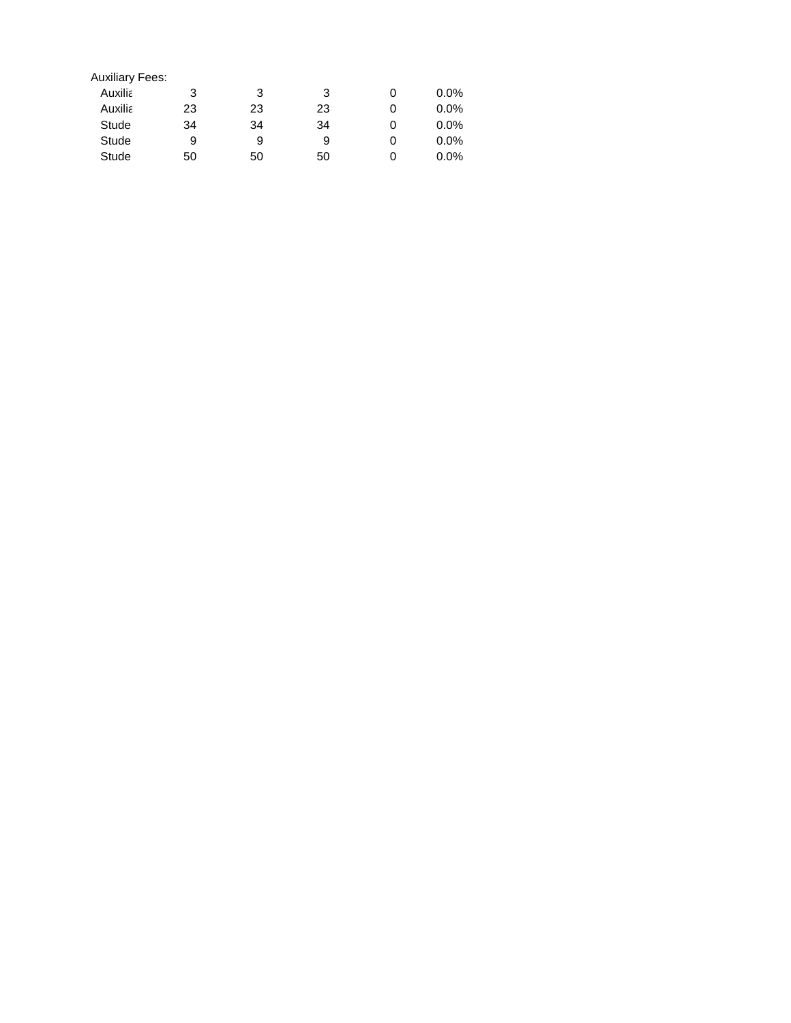| <b>Auxiliary Fees:</b> |    |    |    |   |         |
|------------------------|----|----|----|---|---------|
| <b>Auxilia</b>         | 3  | 3  | 3  |   | $0.0\%$ |
| <b>Auxilia</b>         | 23 | 23 | 23 | 0 | $0.0\%$ |
| Stude                  | 34 | 34 | 34 | 0 | $0.0\%$ |
| Stude                  | 9  | 9  | 9  | 0 | $0.0\%$ |
| Stude                  | 50 | 50 | 50 | 0 | $0.0\%$ |